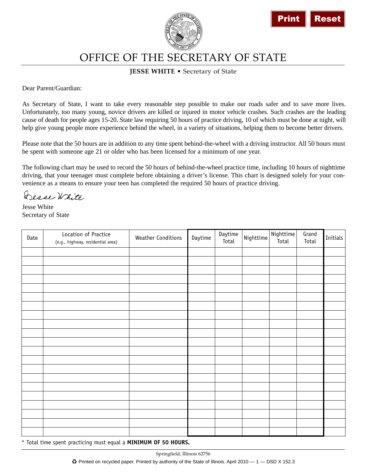



## **JESSE WHITE** • Secretary of State

Jesse White Secretary of State

|             |                                                                                                                                                                                                                                                                                                                                                                                                                                                                                                                      |                                                                                                                                         |         |                  |           | <b>Print</b>       |                | <b>Reset</b> |
|-------------|----------------------------------------------------------------------------------------------------------------------------------------------------------------------------------------------------------------------------------------------------------------------------------------------------------------------------------------------------------------------------------------------------------------------------------------------------------------------------------------------------------------------|-----------------------------------------------------------------------------------------------------------------------------------------|---------|------------------|-----------|--------------------|----------------|--------------|
|             |                                                                                                                                                                                                                                                                                                                                                                                                                                                                                                                      | OFFICE OF THE SECRETARY OF STATE                                                                                                        |         |                  |           |                    |                |              |
|             |                                                                                                                                                                                                                                                                                                                                                                                                                                                                                                                      | <b>JESSE WHITE • Secretary of State</b>                                                                                                 |         |                  |           |                    |                |              |
|             | Dear Parent/Guardian:                                                                                                                                                                                                                                                                                                                                                                                                                                                                                                |                                                                                                                                         |         |                  |           |                    |                |              |
|             | As Secretary of State, I want to take every reasonable step possible to make our roads safer and to save more lives.<br>Unfortunately, too many young, novice drivers are killed or injured in motor vehicle crashes. Such crashes are the leading<br>cause of death for people ages 15-20. State law requiring 50 hours of practice driving, 10 of which must be done at night, will<br>help give young people more experience behind the wheel, in a variety of situations, helping them to become better drivers. |                                                                                                                                         |         |                  |           |                    |                |              |
|             | Please note that the 50 hours are in addition to any time spent behind-the-wheel with a driving instructor. All 50 hours must<br>be spent with someone age 21 or older who has been licensed for a minimum of one year.                                                                                                                                                                                                                                                                                              |                                                                                                                                         |         |                  |           |                    |                |              |
| Jesse White | The following chart may be used to record the 50 hours of behind-the-wheel practice time, including 10 hours of nighttime<br>driving, that your teenager must complete before obtaining a driver's license. This chart is designed solely for your con-<br>venience as a means to ensure your teen has completed the required 50 hours of practice driving.<br>Desse White<br>Secretary of State                                                                                                                     |                                                                                                                                         |         |                  |           |                    |                |              |
| Date        | Location of Practice<br>(e.g., highway, residential area)                                                                                                                                                                                                                                                                                                                                                                                                                                                            | <b>Weather Conditions</b>                                                                                                               | Daytime | Daytime<br>Total | Nighttime | Nighttime<br>Total | Grand<br>Total | Initials     |
|             |                                                                                                                                                                                                                                                                                                                                                                                                                                                                                                                      |                                                                                                                                         |         |                  |           |                    |                |              |
|             |                                                                                                                                                                                                                                                                                                                                                                                                                                                                                                                      |                                                                                                                                         |         |                  |           |                    |                |              |
|             |                                                                                                                                                                                                                                                                                                                                                                                                                                                                                                                      |                                                                                                                                         |         |                  |           |                    |                |              |
|             |                                                                                                                                                                                                                                                                                                                                                                                                                                                                                                                      |                                                                                                                                         |         |                  |           |                    |                |              |
|             |                                                                                                                                                                                                                                                                                                                                                                                                                                                                                                                      |                                                                                                                                         |         |                  |           |                    |                |              |
|             |                                                                                                                                                                                                                                                                                                                                                                                                                                                                                                                      |                                                                                                                                         |         |                  |           |                    |                |              |
|             |                                                                                                                                                                                                                                                                                                                                                                                                                                                                                                                      |                                                                                                                                         |         |                  |           |                    |                |              |
|             |                                                                                                                                                                                                                                                                                                                                                                                                                                                                                                                      |                                                                                                                                         |         |                  |           |                    |                |              |
|             |                                                                                                                                                                                                                                                                                                                                                                                                                                                                                                                      |                                                                                                                                         |         |                  |           |                    |                |              |
|             |                                                                                                                                                                                                                                                                                                                                                                                                                                                                                                                      |                                                                                                                                         |         |                  |           |                    |                |              |
|             |                                                                                                                                                                                                                                                                                                                                                                                                                                                                                                                      |                                                                                                                                         |         |                  |           |                    |                |              |
|             |                                                                                                                                                                                                                                                                                                                                                                                                                                                                                                                      |                                                                                                                                         |         |                  |           |                    |                |              |
|             | * Total time spent practicing must equal a MINIMUM OF 50 HOURS.                                                                                                                                                                                                                                                                                                                                                                                                                                                      |                                                                                                                                         |         |                  |           |                    |                |              |
|             |                                                                                                                                                                                                                                                                                                                                                                                                                                                                                                                      | Springfield, Illinois 62756<br>« Printed on recycled paper. Printed by authority of the State of Illinois. April 2010 – 1 – DSD X 152.3 |         |                  |           |                    |                |              |